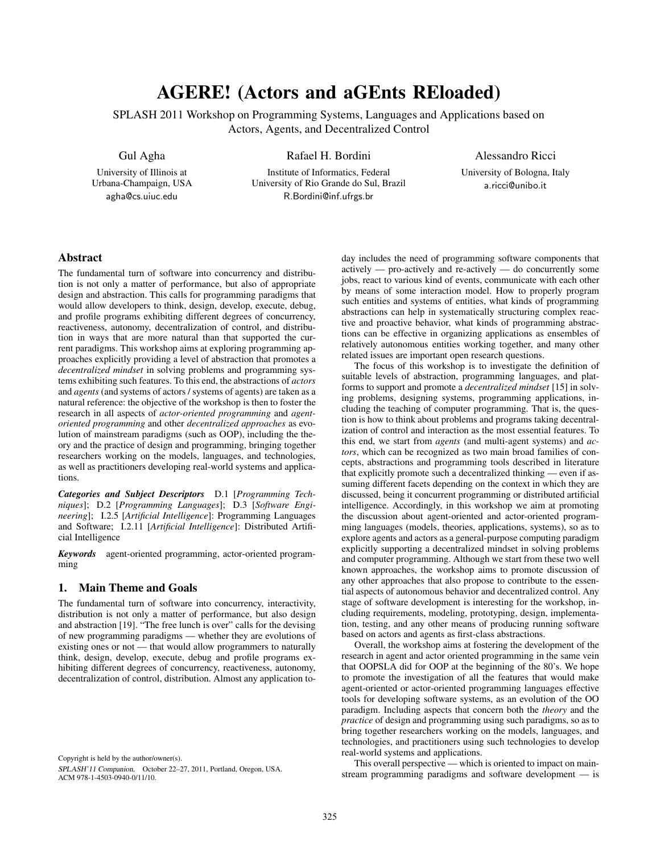## AGERE! (Actors and aGEnts REloaded)

SPLASH 2011 Workshop on Programming Systems, Languages and Applications based on Actors, Agents, and Decentralized Control

Gul Agha

University of Illinois at Urbana-Champaign, USA agha@cs.uiuc.edu

Institute of Informatics, Federal University of Rio Grande do Sul, Brazil R.Bordini@inf.ufrgs.br

Rafael H. Bordini

Alessandro Ricci

University of Bologna, Italy a.ricci@unibo.it

## Abstract

The fundamental turn of software into concurrency and distribution is not only a matter of performance, but also of appropriate design and abstraction. This calls for programming paradigms that would allow developers to think, design, develop, execute, debug, and profile programs exhibiting different degrees of concurrency, reactiveness, autonomy, decentralization of control, and distribution in ways that are more natural than that supported the current paradigms. This workshop aims at exploring programming approaches explicitly providing a level of abstraction that promotes a *decentralized mindset* in solving problems and programming systems exhibiting such features. To this end, the abstractions of *actors* and *agents* (and systems of actors / systems of agents) are taken as a natural reference: the objective of the workshop is then to foster the research in all aspects of *actor-oriented programming* and *agentoriented programming* and other *decentralized approaches* as evolution of mainstream paradigms (such as OOP), including the theory and the practice of design and programming, bringing together researchers working on the models, languages, and technologies, as well as practitioners developing real-world systems and applications.

*Categories and Subject Descriptors* D.1 [*Programming Techniques*]; D.2 [*Programming Languages*]; D.3 [*Software Engineering*]; I.2.5 [*Artificial Intelligence*]: Programming Languages and Software; I.2.11 [*Artificial Intelligence*]: Distributed Artificial Intelligence

*Keywords* agent-oriented programming, actor-oriented programming

## 1. Main Theme and Goals

The fundamental turn of software into concurrency, interactivity, distribution is not only a matter of performance, but also design and abstraction [19]. "The free lunch is over" calls for the devising of new programming paradigms — whether they are evolutions of existing ones or not — that would allow programmers to naturally think, design, develop, execute, debug and profile programs exhibiting different degrees of concurrency, reactiveness, autonomy, decentralization of control, distribution. Almost any application to-

Copyright is held by the author/owner(s).

SPLASH'11 Companion, October 22–27, 2011, Portland, Oregon, USA. ACM 978-1-4503-0940-0/11/10.

day includes the need of programming software components that actively — pro-actively and re-actively — do concurrently some jobs, react to various kind of events, communicate with each other by means of some interaction model. How to properly program such entities and systems of entities, what kinds of programming abstractions can help in systematically structuring complex reactive and proactive behavior, what kinds of programming abstractions can be effective in organizing applications as ensembles of relatively autonomous entities working together, and many other related issues are important open research questions.

The focus of this workshop is to investigate the definition of suitable levels of abstraction, programming languages, and platforms to support and promote a *decentralized mindset* [15] in solving problems, designing systems, programming applications, including the teaching of computer programming. That is, the question is how to think about problems and programs taking decentralization of control and interaction as the most essential features. To this end, we start from *agents* (and multi-agent systems) and *actors*, which can be recognized as two main broad families of concepts, abstractions and programming tools described in literature that explicitly promote such a decentralized thinking — even if assuming different facets depending on the context in which they are discussed, being it concurrent programming or distributed artificial intelligence. Accordingly, in this workshop we aim at promoting the discussion about agent-oriented and actor-oriented programming languages (models, theories, applications, systems), so as to explore agents and actors as a general-purpose computing paradigm explicitly supporting a decentralized mindset in solving problems and computer programming. Although we start from these two well known approaches, the workshop aims to promote discussion of any other approaches that also propose to contribute to the essential aspects of autonomous behavior and decentralized control. Any stage of software development is interesting for the workshop, including requirements, modeling, prototyping, design, implementation, testing, and any other means of producing running software based on actors and agents as first-class abstractions.

Overall, the workshop aims at fostering the development of the research in agent and actor oriented programming in the same vein that OOPSLA did for OOP at the beginning of the 80's. We hope to promote the investigation of all the features that would make agent-oriented or actor-oriented programming languages effective tools for developing software systems, as an evolution of the OO paradigm. Including aspects that concern both the *theory* and the *practice* of design and programming using such paradigms, so as to bring together researchers working on the models, languages, and technologies, and practitioners using such technologies to develop real-world systems and applications.

This overall perspective — which is oriented to impact on mainstream programming paradigms and software development — is